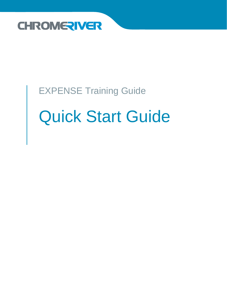

# EXPENSE Training Guide Quick Start Guide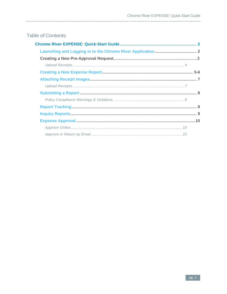### **Table of Contents**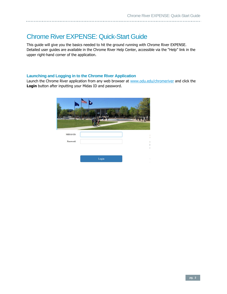## <span id="page-2-0"></span>Chrome River EXPENSE: Quick-Start Guide

This guide will give you the basics needed to hit the ground running with Chrome River EXPENSE. Detailed user guides are available in the Chrome River Help Center, accessible via the "Help" link in the upper right-hand corner of the application.

#### <span id="page-2-1"></span>**Launching and Logging in to the Chrome River Application**

Launch the Chrome River application from any web browser at [www.odu.edu/chromeriver](http://www.odu.edu/chromeriver) and click the **Login** button after inputting your Midas ID and password.

| MIDAS ID: |       |   |
|-----------|-------|---|
| Password: |       | έ |
|           |       |   |
|           | Login |   |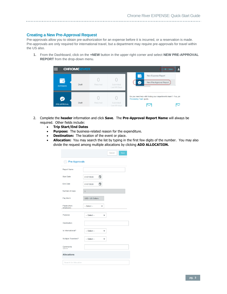#### **Creating a New Pre-Approval Request**

Pre-approvals allow you to obtain pre-authorization for an expense before it is incurred, or a reservation is made. Pre-approvals are only required for international travel, but a department may require pre-approvals for travel within the US also.

1. From the Dashboard, click on the **+NEW** button in the upper right corner and select **NEW PRE-APPROVAL REPORT** from the drop-down menu.



- 2. Complete the **header** information and click **Save**. The **Pre-Approval Report Name** will always be required. Other fields include:
	- **Trip Start/End Dates**
	- **Purpose:** The business-related reason for the expenditure.
	- **Destination:** The location of the event or place.
	- **Allocation:** You may search the list by typing in the first few digits of the number. You may also divide the request among multiple allocations by clicking **ADD ALLOCATION.**

|                          |                                          | Cancel | Save |
|--------------------------|------------------------------------------|--------|------|
| Pre-Approvals            |                                          |        |      |
| <b>Report Name</b>       |                                          |        |      |
| <b>Start Date</b>        | Ħ<br>01/07/2020                          |        |      |
| <b>End Date</b>          | 01/07/2020<br>⊡                          |        |      |
| Number of Days           | 1                                        |        |      |
| Pay Me In                | <b>USD - US Dollars</b>                  |        |      |
| Payee (Non-<br>employee) | -- Select --<br>$\overline{\phantom{a}}$ |        |      |
| Purpose                  | -- Select --                             |        |      |
| Destination              |                                          |        |      |
| Is International?        | -- Select --                             |        |      |
| Multiple Travelers?      | -- Select --                             |        |      |
| Comments<br>Optional     |                                          |        |      |
| <b>Allocations</b>       |                                          |        |      |
| Search for Allocation    |                                          |        |      |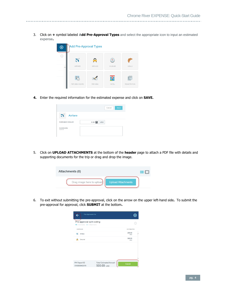3. Click on **+** symbol labeled **Add Pre-Approval Types** and select the appropriate icon to input an estimated expense**.**

| Ð | <b>Add Pre-Approval Types</b> |               |                |                          |  |  |  |  |  |  |  |
|---|-------------------------------|---------------|----------------|--------------------------|--|--|--|--|--|--|--|
| G |                               |               |                |                          |  |  |  |  |  |  |  |
|   | <b>AIRFARE</b>                | <b>GROUND</b> | <b>MILEAGE</b> | <b>MEALS</b>             |  |  |  |  |  |  |  |
|   | $R =$<br>PER DIEM WIZARD      | PER DIEM      | <b>HOTEL</b>   | 眉<br><b>REGISTRATION</b> |  |  |  |  |  |  |  |

**4.** Enter the required information for the estimated expense and click on **SAVE.**

|                         | Save<br>Cancel         |
|-------------------------|------------------------|
| 70<br>Airfare           |                        |
| <b>Estimated Amount</b> | $0.00$ =<br><b>USD</b> |
| Comments<br>Optional    |                        |

5. Click on **UPLOAD ATTACHMENTS** at the bottom of the **header** page to attach a PDF file with details and supporting documents for the trip or drag and drop the image.



6. To exit without submitting the pre-approval, click on the arrow on the upper left-hand side**.** To submit the pre-approval for approval, click **SUBMIT** at the bottom**.**

| Pre-Approvals For                                              |                                             |                      | ۰ |
|----------------------------------------------------------------|---------------------------------------------|----------------------|---|
| Pre-approval split coding<br>O Comments $\theta$ 0 Attachments |                                             |                      |   |
| <b>EXPENSE</b>                                                 |                                             | <b>ESTIMATED</b>     |   |
| 26.<br>Airfare                                                 |                                             | 200.00<br><b>USD</b> |   |
| ۵<br>Ground                                                    |                                             | 300.00<br><b>USD</b> |   |
|                                                                |                                             |                      |   |
|                                                                |                                             |                      |   |
|                                                                |                                             |                      |   |
| PA Report ID<br>010000842979                                   | <b>Total Estimated Amount</b><br>500.00 usp | <b>Submit</b>        |   |
|                                                                |                                             |                      |   |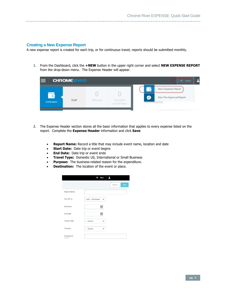#### <span id="page-5-0"></span>**Creating a New Expense Report**

A new expense report is created for each trip, or for continuous travel, reports should be submitted monthly.

1. From the Dashboard, click the **+NEW** button in the upper right corner and select **NEW EXPENSE REPORT** from the drop-down menu. The Expense Header will appear.

|                                             | <b>CHROMERIVER</b> |          |                           |                                 | $+$ New                                       |
|---------------------------------------------|--------------------|----------|---------------------------|---------------------------------|-----------------------------------------------|
| <b>************</b><br>.<br><b>EXPENSES</b> | <b>Draft</b>       | Returned | Submitted<br>Last 90 Days | $\overline{$<br>ᢛ<br><br>$\sim$ | New Expense Report<br>New Pre-Approval Report |

- 2. The Expense Header section stores all the basic information that applies to every expense listed on the report. Complete the **Expense Header** information and click **Save**
	- **Report Name:** Record a title that may include event name, location and date
	- **Start Date:** Date trip or event begins
	- **End Date:** Date trip or event ends
	- **Travel Type:** Domestic US, International or Small Business
	- **Purpose:** The business-related reason for the expenditure.
	- **Destination:** The location of the event or place.

|                         | New                     | д              |
|-------------------------|-------------------------|----------------|
|                         |                         | Save<br>Cancel |
| <b>Report Name</b>      |                         |                |
| Pay Me In               | <b>USD - US Dollars</b> |                |
| <b>StartDate</b>        | □                       |                |
| EndDate                 | п                       |                |
| <b>Travel Type</b>      | -- Select --            |                |
| Purpose                 | -- Select --            |                |
| Destination<br>Optional |                         |                |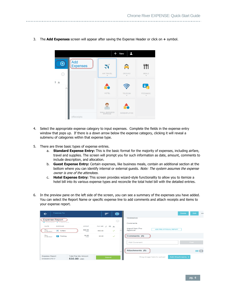- $+$  New  $\overline{1}$ Add  $\bigoplus$ **Expenses** 471 ごく AIR TRAVEL MEALS  $(i)$  $\blacksquare$ TELECOM FEES/MISO SMALL BUSINESS NONEMPLOYEE eReceipts
- 3. The **Add Expenses** screen will appear after saving the Expense Header or click on **+** symbol.

- 4. Select the appropriate expense category to input expenses. Complete the fields in the expense entry window that pops up. If there is a down arrow below the expense category, clicking it will reveal a submenu of categories within that expense type.
- 5. There are three basic types of expense entries.
	- a. **Standard Expense Entry:** This is the basic format for the majority of expenses, including airfare, travel and supplies. The screen will prompt you for such information as date, amount, comments to include description, and allocation.
	- b. **Guest Expense Entry:** Certain expenses, like business meals, contain an additional section at the bottom where you can identify internal or external quests. Note: The system assumes the expense owner is one of the attendees.
	- c. **Hotel Expense Entry:** This screen provides wizard-style functionality to allow you to itemize a hotel bill into its various expense types and reconcile the total hotel bill with the detailed entries.
- 6. In the preview pane on the left side of the screen, you can see a summary of the expenses you have added. You can select the Report Name or specific expense line to add comments and attach receipts and items to your expense report.

| <b>Expenses For</b><br>←                    |                                          | ≕           | ⊕            | Edit<br><b>Delete</b><br>$\bullet\bullet$                      |
|---------------------------------------------|------------------------------------------|-------------|--------------|----------------------------------------------------------------|
| <b>Expense Report</b>                       |                                          |             | ⊙            | <b>Destination</b>                                             |
| □ 0 Comments <b>0</b> 0 Attachments         |                                          |             |              | <b>Comments</b>                                                |
| <b>DATE</b><br><b>EXPENSE</b>               | <b>SPENT</b>                             | PAYME @ Q A |              |                                                                |
| Thu<br>$\overline{N}$ Airfare<br>01/09/2020 | 500.00<br><b>USD</b>                     | 500.00      | $\checkmark$ | Import from Pre-<br><b>ADD PRE-APPROVAL REPORT</b><br>Approval |
| Thu<br>P<br>Parking<br>01/09/2020           | 30.00                                    | 30.00       | $\checkmark$ | Comments (0)                                                   |
|                                             |                                          |             |              | Post<br><b>Add Comment</b>                                     |
|                                             |                                          |             | $\smile$     | Attachments (0)<br>1111 624                                    |
| <b>Expense Report</b><br>010039137517       | <b>Total Pay Me Amount</b><br>530.00 USD | Submit      |              | Add Attachments v<br>Drag image here to upload                 |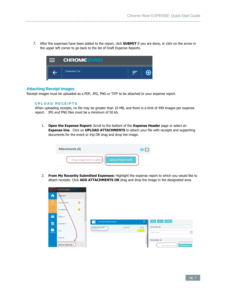<span id="page-7-1"></span>7. After the expenses have been added to the report, click **SUBMIT** if you are done, or click on the arrow in the upper left corner to go back to the list of Draft Expense Reports.



#### **Attaching Receipt Images**

<span id="page-7-0"></span>Receipt images must be uploaded as a PDF, JPG, PNG or TIFF to be attached to your expense report.

#### **U P L O A D R E C E I P T S**

When uploading receipts, no file may be greater than 10 MB, and there is a limit of 499 images per expense report. JPG and PNG files must be a minimum of 50 kb.

1. **Open the Expense Report:** Scroll to the bottom of the **Expense Header** page or select an **Expense line**. Click on **UPLOAD ATTACHMENTS** to attach your file with receipts and supporting documents for the event or trip OR drag and drop the image.

| <b>Attachments (0)</b>    |                           | 井野 |
|---------------------------|---------------------------|----|
| Drag image here to upload | <b>Upload Attachments</b> |    |

2. **From My Recently Submitted Expenses:** Highlight the expense report to which you would like to attach receipts. Click **ADD ATTACHMENTS OR** drag and drop the image in the designated area.

|               | <b>CHROME</b>             | a u                 |                                                |            |                                |                                              |
|---------------|---------------------------|---------------------|------------------------------------------------|------------|--------------------------------|----------------------------------------------|
| n             | Dashboard                 |                     |                                                |            |                                |                                              |
| $\bigcirc$    | Expense Report            | (8)                 |                                                |            |                                |                                              |
|               | Pre-Approval              | $\bullet$           |                                                |            |                                |                                              |
| E             | eWallet ·                 |                     |                                                |            |                                |                                              |
| 昌             | eReceipts <sup>e</sup>    |                     | <b>Submitted Expense Reports</b><br>$\epsilon$ |            | F<br>$\hat{}$                  | Tracking<br>$PDF -$<br>Open                  |
| G<br>EXPENSES | Draft                     | 5                   | ALA/Miami/Dec 2019<br>QA0038592570             | 12/18/2019 | 509.36<br>$\cup$ sp<br>PENDING | Comments (0)<br>Add Comment                  |
|               | Returned                  |                     |                                                |            |                                | Attachments (2)                              |
|               | <b>Recently Submitted</b> | $\scriptstyle\rm w$ |                                                |            |                                | Add Attachments<br>Drag image here to upload |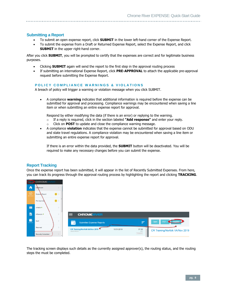#### <span id="page-8-0"></span>**Submitting a Report**

- To submit an open expense report, click **SUBMIT** in the lower left-hand corner of the Expense Report.
- To submit the expense from a Draft or Returned Expense Report, select the Expense Report, and click **SUBMIT** in the upper right-hand corner.

After you click **SUBMIT**, you will be prompted to certify that the expenses are correct and for legitimate business purposes.

- Clicking **SUBMIT** again will send the report to the first step in the approval routing process
- If submitting an international Expense Report, click **PRE-APPROVAL** to attach the applicable pre-approval request before submitting the Expense Report.

#### <span id="page-8-1"></span>**POLICY COMPLIANCE WARNINGS & VIOLATIONS**

A breach of policy will trigger a warning or violation message when you click SUBMIT.

• A compliance **warning** indicates that additional information is required before the expense can be submitted for approval and processing. Compliance warnings may be encountered when saving a line item or when submitting an entire expense report for approval.

Respond by either modifying the data (if there is an error) or replying to the warning.

- o If a reply is required, click in the section labeled **"Add response"** and enter your reply.
- o Click on **POST** to update and close the compliance warning message.
- A compliance **violation** indicates that the expense cannot be submitted for approval based on ODU and state travel regulations. A compliance violation may be encountered when saving a line item or submitting an entire expense report for approval.

If there is an error within the data provided, the **SUBMIT** button will be deactivated. You will be required to make any necessary changes before you can submit the expense.

#### <span id="page-8-2"></span>**Report Tracking**

Once the expense report has been submitted, it will appear in the list of Recently Submitted Expenses. From here, you can track its progress through the approval routing process by highlighting the report and clicking **TRACKING**.

|                                      | <b>CHROME</b>             |                     |              |                                        |            |                                       |                                 |
|--------------------------------------|---------------------------|---------------------|--------------|----------------------------------------|------------|---------------------------------------|---------------------------------|
| n                                    | Dashboard                 |                     |              |                                        |            |                                       |                                 |
| $\overline{\bigcirc}$                | Expense Report            | $\left( 8\right)$ > |              |                                        |            |                                       |                                 |
|                                      | Pre-Approval              | $\bullet$           |              |                                        |            |                                       |                                 |
|                                      | eWallet •                 |                     |              |                                        |            |                                       |                                 |
| 昌                                    | eReceipts <sup>e</sup>    |                     | ᆖ            | <b>CHROMERIVER</b>                     |            |                                       |                                 |
| $\overline{\phantom{a}}$<br>EXPENSES | Draft                     |                     |              | <b>Submitted Expense Reports</b>       |            | E                                     | Tracking<br><b>PDF</b><br>Open  |
|                                      | Returned                  |                     | QA0037950227 | <b>CR Training/Norfolk VA/Nov 2019</b> | 10/31/2019 | 37.00<br><b>USD</b><br><b>PENDING</b> | CR Training/Norfolk VA/Nov 2019 |
|                                      | <b>Recently Submitted</b> |                     |              |                                        |            |                                       |                                 |

The tracking screen displays such details as the currently assigned approver(s), the routing status, and the routing steps the must be completed.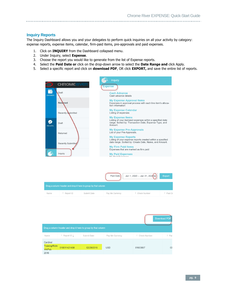<span id="page-9-0"></span>**Inquiry Reports**

The Inquiry Dashboard allows you and your delegates to perform quick inquiries on all your activity by category: expense reports, expense items, calendar, firm-paid items, pre-approvals and paid expenses.

- 1. Click on **INQUIRY** from the Dashboard collapsed menu.
- 2. Under Inquiry, select **Expense**.

- 3. Choose the report you would like to generate from the list of Expense reports.
- 4. Select the **Paid Date or** click on the drop-down arrow to select the **Date Range and** click Apply.
- <span id="page-9-1"></span>5. Select a specific report and click on **download PDF**, OR click **EXPORT,** and save the entire list of reports.



|      |           |                                                               | Paid Date:      | Jan 1, 2020 – Jan 31, 2020 | Export    |
|------|-----------|---------------------------------------------------------------|-----------------|----------------------------|-----------|
|      |           | Drag a column header and drop it here to group by that column |                 |                            |           |
| Name | Report ID | Submit Date                                                   | Pay Me Currency | : Check Number             | : Paid Da |

| <b>Download PDF</b><br>Drag a column header and drop it here to group by that column |                                 |             |                 |                |       |  |  |  |  |
|--------------------------------------------------------------------------------------|---------------------------------|-------------|-----------------|----------------|-------|--|--|--|--|
| Name                                                                                 | $\frac{1}{2}$ Report ID $\perp$ | Submit Date | Pay Me Currency | : Check Number | : Pai |  |  |  |  |
| Cardinal<br><b>Training/Richr</b><br><b>VA/Feb</b><br>2016                           | 010011421498                    | 02/29/2016  | <b>USD</b>      | 81603667       | 03    |  |  |  |  |